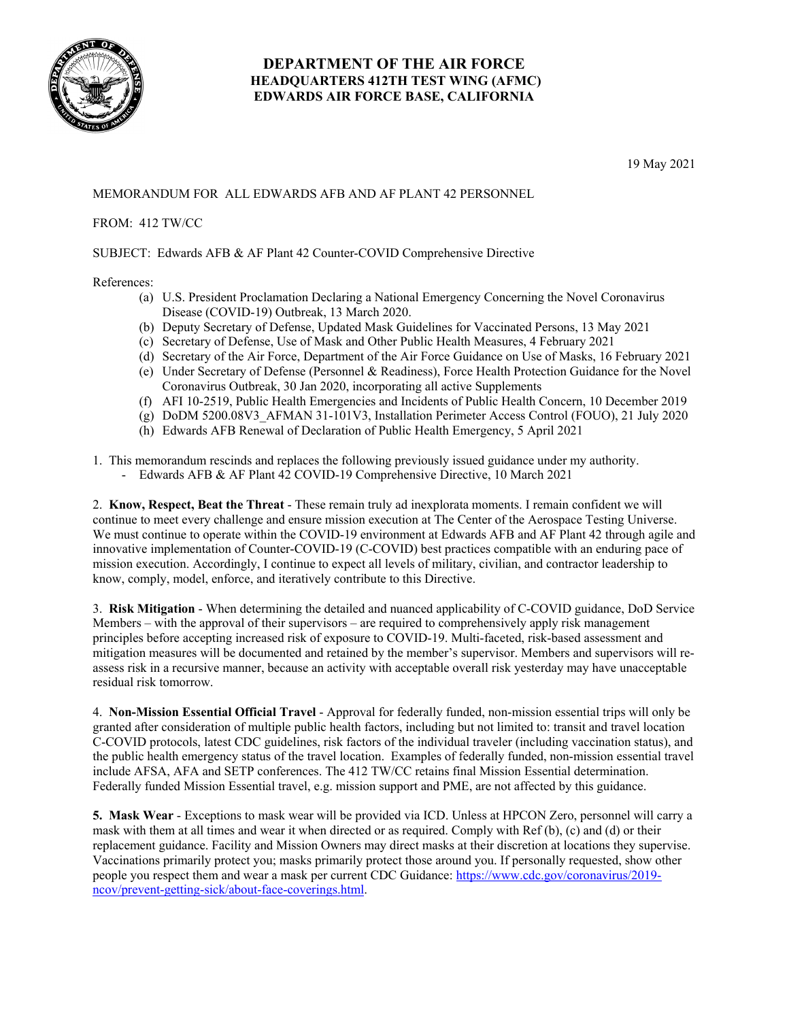

## **DEPARTMENT OF THE AIR FORCE HEADQUARTERS 412TH TEST WING (AFMC) EDWARDS AIR FORCE BASE, CALIFORNIA**

19 May 2021

## MEMORANDUM FOR ALL EDWARDS AFB AND AF PLANT 42 PERSONNEL

## FROM: 412 TW/CC

SUBJECT: Edwards AFB & AF Plant 42 Counter-COVID Comprehensive Directive

## References:

- (a) U.S. President Proclamation Declaring a National Emergency Concerning the Novel Coronavirus Disease (COVID-19) Outbreak, 13 March 2020.
- (b) Deputy Secretary of Defense, Updated Mask Guidelines for Vaccinated Persons, 13 May 2021
- (c) Secretary of Defense, Use of Mask and Other Public Health Measures, 4 February 2021
- (d) Secretary of the Air Force, Department of the Air Force Guidance on Use of Masks, 16 February 2021
- (e) Under Secretary of Defense (Personnel & Readiness), Force Health Protection Guidance for the Novel Coronavirus Outbreak, 30 Jan 2020, incorporating all active Supplements
- (f) AFI 10-2519, Public Health Emergencies and Incidents of Public Health Concern, 10 December 2019
- (g) DoDM 5200.08V3\_AFMAN 31-101V3, Installation Perimeter Access Control (FOUO), 21 July 2020
- (h) Edwards AFB Renewal of Declaration of Public Health Emergency, 5 April 2021
- 1. This memorandum rescinds and replaces the following previously issued guidance under my authority.
	- Edwards AFB & AF Plant 42 COVID-19 Comprehensive Directive, 10 March 2021

2. **Know, Respect, Beat the Threat** - These remain truly ad inexplorata moments. I remain confident we will continue to meet every challenge and ensure mission execution at The Center of the Aerospace Testing Universe. We must continue to operate within the COVID-19 environment at Edwards AFB and AF Plant 42 through agile and innovative implementation of Counter-COVID-19 (C-COVID) best practices compatible with an enduring pace of mission execution. Accordingly, I continue to expect all levels of military, civilian, and contractor leadership to know, comply, model, enforce, and iteratively contribute to this Directive.

3. **Risk Mitigation** - When determining the detailed and nuanced applicability of C-COVID guidance, DoD Service Members – with the approval of their supervisors – are required to comprehensively apply risk management principles before accepting increased risk of exposure to COVID-19. Multi-faceted, risk-based assessment and mitigation measures will be documented and retained by the member's supervisor. Members and supervisors will reassess risk in a recursive manner, because an activity with acceptable overall risk yesterday may have unacceptable residual risk tomorrow.

4. **Non-Mission Essential Official Travel** - Approval for federally funded, non-mission essential trips will only be granted after consideration of multiple public health factors, including but not limited to: transit and travel location C-COVID protocols, latest CDC guidelines, risk factors of the individual traveler (including vaccination status), and the public health emergency status of the travel location. Examples of federally funded, non-mission essential travel include AFSA, AFA and SETP conferences. The 412 TW/CC retains final Mission Essential determination. Federally funded Mission Essential travel, e.g. mission support and PME, are not affected by this guidance.

**5. Mask Wear** - Exceptions to mask wear will be provided via ICD. Unless at HPCON Zero, personnel will carry a mask with them at all times and wear it when directed or as required. Comply with Ref (b), (c) and (d) or their replacement guidance. Facility and Mission Owners may direct masks at their discretion at locations they supervise. Vaccinations primarily protect you; masks primarily protect those around you. If personally requested, show other people you respect them and wear a mask per current CDC Guidance: https://www.cdc.gov/coronavirus/2019 ncov/prevent-getting-sick/about-face-coverings.html.